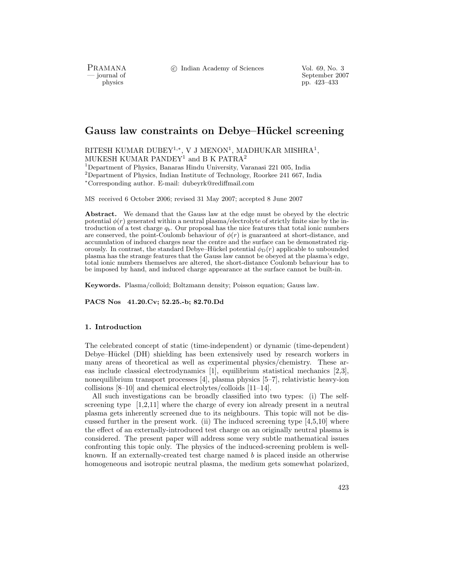PRAMANA<br>— journal of

c Indian Academy of Sciences Vol. 69, No. 3

September 2007 physics pp. 423–433

# **Gauss law constraints on Debye–H¨uckel screening**

RITESH KUMAR DUBEY<sup>1,\*</sup>, V J MENON<sup>1</sup>, MADHUKAR MISHRA<sup>1</sup>, MUKESH KUMAR PANDEY<sup>1</sup> and B K PATRA<sup>2</sup>

<sup>1</sup>Department of Physics, Banaras Hindu University, Varanasi 221 005, India

<sup>2</sup>Department of Physics, Indian Institute of Technology, Roorkee 241 667, India

<sup>∗</sup>Corresponding author. E-mail: dubeyrk@rediffmail.com

MS received 6 October 2006; revised 31 May 2007; accepted 8 June 2007

**Abstract.** We demand that the Gauss law at the edge must be obeyed by the electric potential  $\phi(r)$  generated within a neutral plasma/electrolyte of strictly finite size by the introduction of a test charge q*b*. Our proposal has the nice features that total ionic numbers are conserved, the point-Coulomb behaviour of  $\phi(r)$  is guaranteed at short-distance, and accumulation of induced charges near the centre and the surface can be demonstrated rigorously. In contrast, the standard Debye–Hückel potential  $\phi_D(r)$  applicable to unbounded plasma has the strange features that the Gauss law cannot be obeyed at the plasma's edge, total ionic numbers themselves are altered, the short-distance Coulomb behaviour has to be imposed by hand, and induced charge appearance at the surface cannot be built-in.

**Keywords.** Plasma/colloid; Boltzmann density; Poisson equation; Gauss law.

**PACS Nos 41.20.Cv; 52.25.-b; 82.70.Dd**

## **1. Introduction**

The celebrated concept of static (time-independent) or dynamic (time-dependent) Debye–Hückel (DH) shielding has been extensively used by research workers in many areas of theoretical as well as experimental physics/chemistry. These areas include classical electrodynamics [1], equilibrium statistical mechanics [2,3], nonequilibrium transport processes [4], plasma physics [5–7], relativistic heavy-ion collisions [8–10] and chemical electrolytes/colloids [11–14].

All such investigations can be broadly classified into two types: (i) The selfscreening type [1,2,11] where the charge of every ion already present in a neutral plasma gets inherently screened due to its neighbours. This topic will not be discussed further in the present work. (ii) The induced screening type  $[4,5,10]$  where the effect of an externally-introduced test charge on an originally neutral plasma is considered. The present paper will address some very subtle mathematical issues confronting this topic only. The physics of the induced-screening problem is wellknown. If an externally-created test charge named  $b$  is placed inside an otherwise homogeneous and isotropic neutral plasma, the medium gets somewhat polarized,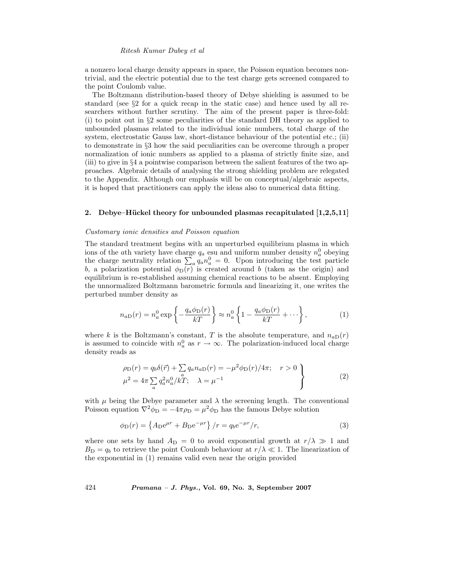#### *Ritesh Kumar Dubey et al*

a nonzero local charge density appears in space, the Poisson equation becomes nontrivial, and the electric potential due to the test charge gets screened compared to the point Coulomb value.

The Boltzmann distribution-based theory of Debye shielding is assumed to be standard (see §2 for a quick recap in the static case) and hence used by all researchers without further scrutiny. The aim of the present paper is three-fold: (i) to point out in §2 some peculiarities of the standard DH theory as applied to unbounded plasmas related to the individual ionic numbers, total charge of the system, electrostatic Gauss law, short-distance behaviour of the potential etc.; (ii) to demonstrate in §3 how the said peculiarities can be overcome through a proper normalization of ionic numbers as applied to a plasma of strictly finite size, and (iii) to give in §4 a pointwise comparison between the salient features of the two approaches. Algebraic details of analysing the strong shielding problem are relegated to the Appendix. Although our emphasis will be on conceptual/algebraic aspects, it is hoped that practitioners can apply the ideas also to numerical data fitting.

#### **2.** Debye–Hückel theory for unbounded plasmas recapitulated [1,2,5,11]

### *Customary ionic densities and Poisson equation*

The standard treatment begins with an unperturbed equilibrium plasma in which ions of the ath variety have charge  $q_a$  esu and uniform number density  $n_a^0$  obeying the charge neutrality relation  $\sum_a q_a n_a^0 = 0$ . Upon introducing the test particle b, a polarization potential  $\phi_D(r)$  is created around b (taken as the origin) and equilibrium is re-established assuming chemical reactions to be absent. Employing the unnormalized Boltzmann barometric formula and linearizing it, one writes the perturbed number density as

$$
n_{aD}(r) = n_a^0 \exp\left\{-\frac{q_a \phi_D(r)}{kT}\right\} \approx n_a^0 \left\{1 - \frac{q_a \phi_D(r)}{kT} + \cdots \right\},\tag{1}
$$

where k is the Boltzmann's constant, T is the absolute temperature, and  $n_{aD}(r)$ is assumed to coincide with  $n_a^0$  as  $r \to \infty$ . The polarization-induced local charge density reads as

$$
\rho_{\rm D}(r) = q_b \delta(\vec{r}) + \sum_{a} q_a n_{aD}(r) = -\mu^2 \phi_{\rm D}(r) / 4\pi; \quad r > 0
$$
  

$$
\mu^2 = 4\pi \sum_{a} q_a^2 n_a^0 / kT; \quad \lambda = \mu^{-1}
$$
 (2)

with  $\mu$  being the Debye parameter and  $\lambda$  the screening length. The conventional Poisson equation  $\nabla^2 \phi_D = -4\pi \rho_D = \mu^2 \phi_D$  has the famous Debye solution

$$
\phi_{\rm D}(r) = \left\{ A_{\rm D} e^{\mu r} + B_{\rm D} e^{-\mu r} \right\} / r = q_b e^{-\mu r} / r,\tag{3}
$$

where one sets by hand  $A_D = 0$  to avoid exponential growth at  $r/\lambda \gg 1$  and  $B_{\text{D}} = q_b$  to retrieve the point Coulomb behaviour at  $r/\lambda \ll 1$ . The linearization of the exponential in (1) remains valid even near the origin provided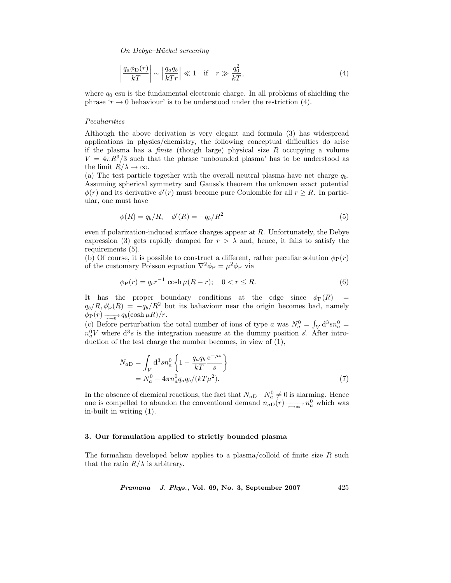$$
\left| \frac{q_a \phi_D(r)}{kT} \right| \sim \left| \frac{q_a q_b}{kTr} \right| \ll 1 \quad \text{if} \quad r \gg \frac{q_0^2}{kT},\tag{4}
$$

where  $q_0$  esu is the fundamental electronic charge. In all problems of shielding the phrase ' $r \to 0$  behaviour' is to be understood under the restriction (4).

### *Peculiarities*

Although the above derivation is very elegant and formula (3) has widespread applications in physics/chemistry, the following conceptual difficulties do arise if the plasma has a *finite* (though large) physical size R occupying a volume  $V = 4\pi R^3/3$  such that the phrase 'unbounded plasma' has to be understood as the limit  $R/\lambda \to \infty$ .

(a) The test particle together with the overall neutral plasma have net charge  $q_b$ . Assuming spherical symmetry and Gauss's theorem the unknown exact potential  $\phi(r)$  and its derivative  $\phi'(r)$  must become pure Coulombic for all  $r \geq R$ . In particular, one must have

$$
\phi(R) = q_b/R, \quad \phi'(R) = -q_b/R^2 \tag{5}
$$

even if polarization-induced surface charges appear at R. Unfortunately, the Debye expression (3) gets rapidly damped for  $r>\lambda$  and, hence, it fails to satisfy the requirements (5).

(b) Of course, it is possible to construct a different, rather peculiar solution  $\phi_P(r)$ of the customary Poisson equation  $\nabla^2 \phi_P = \mu^2 \phi_P$  via

$$
\phi_{\mathcal{P}}(r) = q_b r^{-1} \cosh \mu (R - r); \quad 0 < r \le R. \tag{6}
$$

It has the proper boundary conditions at the edge since  $\phi_P(R)$  =  $q_b/R, \phi'_P(R) = -q_b/R^2$  but its bahaviour near the origin becomes bad, namely  $\phi_{\rm P}(r) \xrightarrow[r \to 0]{} q_b(\cosh\mu R)/r.$ 

(c) Before perturbation the total number of ions of type a was  $N_a^0 = \int_V d^3sn_a^0 =$  $n_a^0 V$  where  $d^3 s$  is the integration measure at the dummy position  $\vec{s}$ . After introduction of the test charge the number becomes, in view of (1),

$$
N_{aD} = \int_{V} d^{3}sn_{a}^{0} \left\{ 1 - \frac{q_{a}q_{b}}{kT} \frac{e^{-\mu s}}{s} \right\}
$$
  
=  $N_{a}^{0} - 4\pi n_{a}^{0}q_{a}q_{b}/(kT\mu^{2}).$  (7)

In the absence of chemical reactions, the fact that  $N_{aD} - N_a^0 \neq 0$  is alarming. Hence one is compelled to abandon the conventional demand  $n_{aD}(r) \longrightarrow n_a^0$  which was in-built in writing (1).

## **3. Our formulation applied to strictly bounded plasma**

The formalism developed below applies to a plasma/colloid of finite size  $R$  such that the ratio  $R/\lambda$  is arbitrary.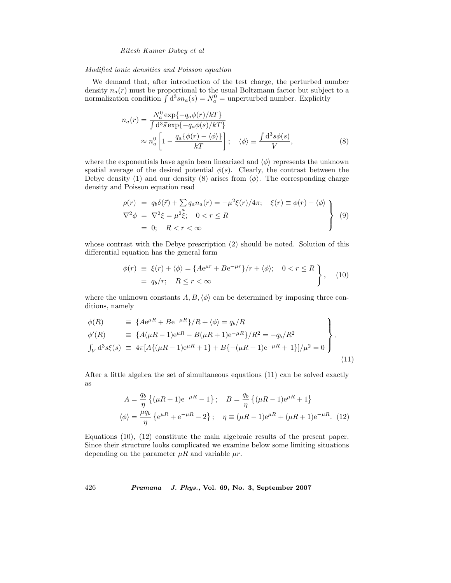# *Ritesh Kumar Dubey et al*

## *Modified ionic densities and Poisson equation*

We demand that, after introduction of the test charge, the perturbed number density  $n_a(r)$  must be proportional to the usual Boltzmann factor but subject to a normalization condition  $\int d^3 s n_a(s) = N_a^0$  = unperturbed number. Explicitly

$$
n_a(r) = \frac{N_a^0 \exp\{-q_a\phi(r)/kT\}}{\int d^3 \vec{s} \exp\{-q_a\phi(s)/kT\}} \approx n_a^0 \left[1 - \frac{q_a \{\phi(r) - \langle \phi \rangle\}}{kT}\right]; \quad \langle \phi \rangle \equiv \frac{\int d^3 s \phi(s)}{V}, \tag{8}
$$

where the exponentials have again been linearized and  $\langle \phi \rangle$  represents the unknown spatial average of the desired potential  $\phi(s)$ . Clearly, the contrast between the Debye density (1) and our density (8) arises from  $\langle \phi \rangle$ . The corresponding charge density and Poisson equation read

$$
\rho(r) = q_b \delta(\vec{r}) + \sum a_a n_a(r) = -\mu^2 \xi(r) / 4\pi; \quad \xi(r) \equiv \phi(r) - \langle \phi \rangle
$$
  
\n
$$
\nabla^2 \phi = \nabla^2 \xi = \mu^2 \xi; \quad 0 < r \le R
$$
  
\n
$$
= 0; \quad R < r < \infty
$$
\n(9)

whose contrast with the Debye prescription (2) should be noted. Solution of this differential equation has the general form

$$
\begin{aligned}\n\phi(r) &= \xi(r) + \langle \phi \rangle = \{ A e^{\mu r} + B e^{-\mu r} \} / r + \langle \phi \rangle; \quad 0 < r \le R \\
&= q_b / r; \quad R \le r < \infty\n\end{aligned}\n\},\n\tag{10}
$$

where the unknown constants  $A, B, \langle \phi \rangle$  can be determined by imposing three conditions, namely

$$
\begin{aligned}\n\phi(R) &= \{Ae^{\mu R} + Be^{-\mu R}\}/R + \langle \phi \rangle = q_b/R \\
\phi'(R) &= \{A(\mu R - 1)e^{\mu R} - B(\mu R + 1)e^{-\mu R}\}/R^2 = -q_b/R^2 \\
\int_V d^3s\xi(s) &= 4\pi [A\{(\mu R - 1)e^{\mu R} + 1\} + B\{-(\mu R + 1)e^{-\mu R} + 1\}]/\mu^2 = 0\n\end{aligned}
$$
\n(11)

After a little algebra the set of simultaneous equations (11) can be solved exactly as

$$
A = \frac{q_b}{\eta} \left\{ (\mu R + 1)e^{-\mu R} - 1 \right\}; \quad B = \frac{q_b}{\eta} \left\{ (\mu R - 1)e^{\mu R} + 1 \right\}
$$

$$
\langle \phi \rangle = \frac{\mu q_b}{\eta} \left\{ e^{\mu R} + e^{-\mu R} - 2 \right\}; \quad \eta \equiv (\mu R - 1)e^{\mu R} + (\mu R + 1)e^{-\mu R}. \tag{12}
$$

Equations (10), (12) constitute the main algebraic results of the present paper. Since their structure looks complicated we examine below some limiting situations depending on the parameter  $\mu R$  and variable  $\mu r$ .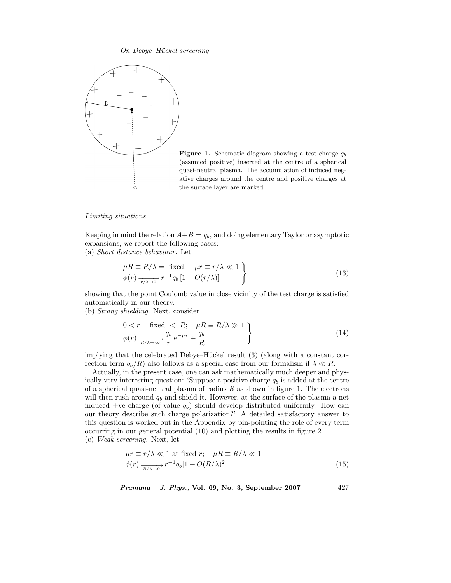

**Figure 1.** Schematic diagram showing a test charge q*<sup>b</sup>* (assumed positive) inserted at the centre of a spherical quasi-neutral plasma. The accumulation of induced negative charges around the centre and positive charges at the surface layer are marked.

#### *Limiting situations*

Keeping in mind the relation  $A+B = q_b$ , and doing elementary Taylor or asymptotic expansions, we report the following cases:<br>(a) Short distance behaviour. Let (a) *Short distance behaviour.* Let

$$
\mu R \equiv R/\lambda = \text{fixed}; \quad \mu r \equiv r/\lambda \ll 1
$$
  

$$
\phi(r) \xrightarrow[r/\lambda \to 0]{} r^{-1} q_b [1 + O(r/\lambda)]
$$
 (13)

showing that the point Coulomb value in close vicinity of the test charge is satisfied automatically in our theory.

(b) *Strong shielding*. Next, consider

$$
0 < r = \text{fixed} < R; \quad \mu = R/\lambda \gg 1
$$
\n
$$
\phi(r) \xrightarrow[R/\lambda \to \infty]{q_b} e^{-\mu r} + \frac{q_b}{R}
$$
\n
$$
\tag{14}
$$

implying that the celebrated Debye–Hückel result  $(3)$  (along with a constant correction term  $q_b/R$ ) also follows as a special case from our formalism if  $\lambda \ll R$ .

Actually, in the present case, one can ask mathematically much deeper and physically very interesting question: 'Suppose a positive charge  $q<sub>b</sub>$  is added at the centre of a spherical quasi-neutral plasma of radius  $R$  as shown in figure 1. The electrons will then rush around  $q<sub>b</sub>$  and shield it. However, at the surface of the plasma a net induced +ve charge (of value  $q_b$ ) should develop distributed uniformly. How can our theory describe such charge polarization?' A detailed satisfactory answer to this question is worked out in the Appendix by pin-pointing the role of every term occurring in our general potential (10) and plotting the results in figure 2. (c) *Weak screening.* Next, let

$$
\mu r \equiv r/\lambda \ll 1 \text{ at fixed } r; \quad \mu R \equiv R/\lambda \ll 1
$$

$$
\phi(r) \frac{1}{R(\lambda - r)} r^{-1} q_b [1 + O(R/\lambda)^2]
$$
\n(15)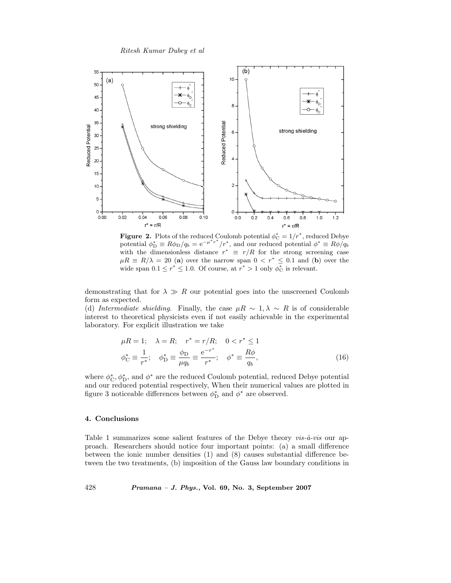

**Figure 2.** Plots of the reduced Coulomb potential  $\phi_C^* = 1/r^*$ , reduced Debye potential  $\phi_{\text{D}}^* \equiv R\phi_{\text{D}}/q_b = e^{-\mu^* r^*}/r^*$ , and our reduced potential  $\phi^* \equiv R\phi/q_b$ with the dimensionless distance  $r^* \equiv r/R$  for the strong screening case  $\mu R \equiv R/\lambda = 20$  (a) over the narrow span  $0 < r^* \leq 0.1$  and (b) over the wide span  $0.1 \le r^* \le 1.0$ . Of course, at  $r^* > 1$  only  $\phi_C^*$  is relevant.

demonstrating that for  $\lambda \gg R$  our potential goes into the unscreened Coulomb form as expected.

(d) *Intermediate shielding*. Finally, the case  $\mu R \sim 1, \lambda \sim R$  is of considerable interest to theoretical physicists even if not easily achievable in the experimental laboratory. For explicit illustration we take

$$
\mu R = 1; \quad \lambda = R; \quad r^* = r/R; \quad 0 < r^* \le 1
$$
  

$$
\phi_{\rm C}^* \equiv \frac{1}{r^*}; \quad \phi_{\rm D}^* \equiv \frac{\phi_{\rm D}}{\mu q_b} \equiv \frac{e^{-r^*}}{r^*}; \quad \phi^* \equiv \frac{R\phi}{q_b}, \tag{16}
$$

where  $\phi_{\mathcal{C}}^*, \phi_{\mathcal{D}}^*$ , and  $\phi^*$  are the reduced Coulomb potential, reduced Debye potential and our reduced potential respectively, When their numerical values are plotted in figure 3 noticeable differences between  $\phi_{\text{D}}^{*}$  and  $\phi^{*}$  are observed.

## **4. Conclusions**

Table 1 summarizes some salient features of the Debye theory  $vis-\hat{a}-vis$  our approach. Researchers should notice four important points: (a) a small difference between the ionic number densities (1) and (8) causes substantial difference between the two treatments, (b) imposition of the Gauss law boundary conditions in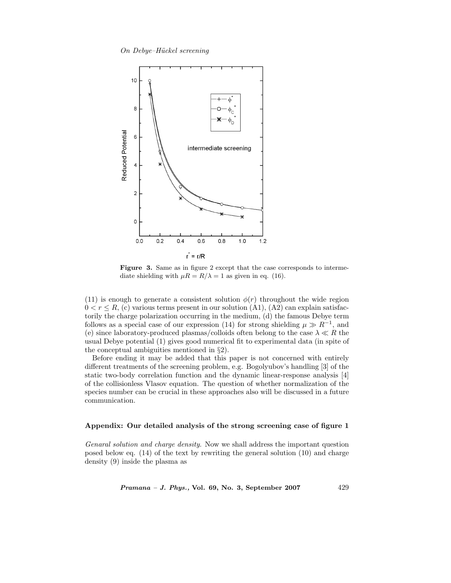

Figure 3. Same as in figure 2 except that the case corresponds to intermediate shielding with  $\mu R = R/\lambda = 1$  as given in eq. (16).

(11) is enough to generate a consistent solution  $\phi(r)$  throughout the wide region  $0 < r \le R$ , (c) various terms present in our solution (A1), (A2) can explain satisfactorily the charge polarization occurring in the medium, (d) the famous Debye term follows as a special case of our expression (14) for strong shielding  $\mu \gg R^{-1}$ , and (e) since laboratory-produced plasmas/colloids often belong to the case  $\lambda \ll R$  the usual Debye potential (1) gives good numerical fit to experimental data (in spite of the conceptual ambiguities mentioned in §2).

Before ending it may be added that this paper is not concerned with entirely different treatments of the screening problem, e.g. Bogolyubov's handling [3] of the static two-body correlation function and the dynamic linear-response analysis [4] of the collisionless Vlasov equation. The question of whether normalization of the species number can be crucial in these approaches also will be discussed in a future communication.

# **Appendix: Our detailed analysis of the strong screening case of figure 1**

*Genaral solution and charge density*. Now we shall address the important question posed below eq. (14) of the text by rewriting the general solution (10) and charge density (9) inside the plasma as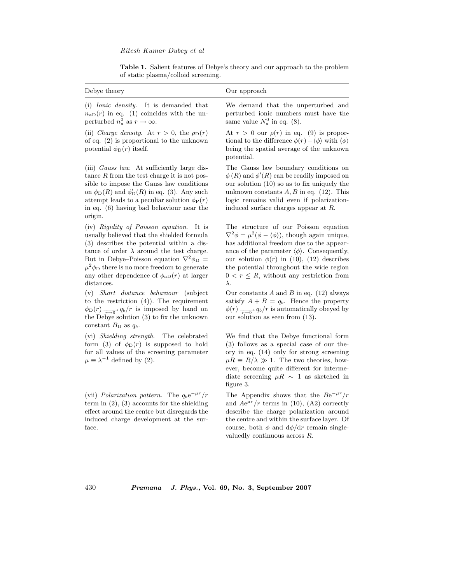Table 1. Salient features of Debye's theory and our approach to the problem of static plasma/colloid screening.

| Debye theory                                                                                                                                                                                                                                                                    | Our approach                                                                                                                                                                                                                                                                                                |
|---------------------------------------------------------------------------------------------------------------------------------------------------------------------------------------------------------------------------------------------------------------------------------|-------------------------------------------------------------------------------------------------------------------------------------------------------------------------------------------------------------------------------------------------------------------------------------------------------------|
| (i) <i>Ionic density</i> . It is demanded that<br>$n_{aD}(r)$ in eq. (1) coincides with the un-<br>perturbed $n_a^0$ as $r \to \infty$ .                                                                                                                                        | We demand that the unperturbed and<br>perturbed ionic numbers must have the<br>same value $N_a^0$ in eq. (8).                                                                                                                                                                                               |
| (ii) Charge density. At $r > 0$ , the $\rho_D(r)$<br>of eq. $(2)$ is proportional to the unknown<br>potential $\phi_{\rm D}(r)$ itself.                                                                                                                                         | At $r > 0$ our $\rho(r)$ in eq. (9) is propor-<br>tional to the difference $\phi(r) - \langle \phi \rangle$ with $\langle \phi \rangle$<br>being the spatial average of the unknown<br>potential.                                                                                                           |
| $\sqrt{11}$ and $\sqrt{11}$ and $\sqrt{11}$ and $\sqrt{11}$ and $\sqrt{11}$ and $\sqrt{11}$ and $\sqrt{11}$ and $\sqrt{11}$ and $\sqrt{11}$ and $\sqrt{11}$ and $\sqrt{11}$ and $\sqrt{11}$ and $\sqrt{11}$ and $\sqrt{11}$ and $\sqrt{11}$ and $\sqrt{11}$ and $\sqrt{11}$ and | $\mathbb{R}^n$ $\mathbb{R}^n$ $\mathbb{R}^n$ $\mathbb{R}^n$ $\mathbb{R}^n$ $\mathbb{R}^n$ $\mathbb{R}^n$ $\mathbb{R}^n$ $\mathbb{R}^n$ $\mathbb{R}^n$ $\mathbb{R}^n$ $\mathbb{R}^n$ $\mathbb{R}^n$ $\mathbb{R}^n$ $\mathbb{R}^n$ $\mathbb{R}^n$ $\mathbb{R}^n$ $\mathbb{R}^n$ $\mathbb{R}^n$ $\mathbb{R}^n$ |

(iii) *Gauss law*. At sufficiently large distance  $R$  from the test charge it is not possible to impose the Gauss law conditions on  $\phi_{\text{D}}(R)$  and  $\phi'_{\text{D}}(R)$  in eq. (3). Any such attempt leads to a peculiar solution  $\phi_P(r)$ in eq. (6) having bad behaviour near the origin.

(iv) *Rigidity of Poisson equation*. It is usually believed that the shielded formula (3) describes the potential within a distance of order  $\lambda$  around the test charge. But in Debye–Poisson equation  $\nabla^2 \phi_D$  =  $\mu^2 \phi_D$  there is no more freedom to generate any other dependence of  $\phi_{aD}(r)$  at larger distances.

(v) *Short distance behaviour* (subject to the restriction (4)). The requirement  $\phi_{\text{D}}(r) \xrightarrow[r \to 0]{} q_b/r$  is imposed by hand on the Debye solution (3) to fix the unknown constant  $B_{\text{D}}$  as  $q_b$ .

(vi) *Shielding strength*. The celebrated form (3) of  $\phi_D(r)$  is supposed to hold for all values of the screening parameter  $\mu \equiv \lambda^{-1}$  defined by (2).

(vii) *Polarization pattern*. The q*b*e−*µr*/r term in (2), (3) accounts for the shielding effect around the centre but disregards the induced charge development at the surface.

The Gauss law boundary conditions on

 $\phi(R)$  and  $\phi'(R)$  can be readily imposed on our solution (10) so as to fix uniquely the unknown constants  $A, B$  in eq. (12). This logic remains valid even if polarizationinduced surface charges appear at R.

The structure of our Poisson equation  $\nabla^2 \phi = \mu^2 (\phi - \langle \phi \rangle)$ , though again unique, has additional freedom due to the appearance of the parameter  $\langle \phi \rangle$ . Consequently, our solution  $\phi(r)$  in (10), (12) describes the potential throughout the wide region  $0 < r \leq R$ , without any restriction from λ.

Our constants  $A$  and  $B$  in eq. (12) always satisfy  $A + B = q_b$ . Hence the property  $\phi(r) \longrightarrow_{r \to 0} q_b/r$  is automatically obeyed by our solution as seen from (13).

We find that the Debye functional form (3) follows as a special case of our theory in eq. (14) only for strong screening  $\mu R \equiv R/\lambda \gg 1$ . The two theories, however, become quite different for intermediate screening  $\mu R \sim 1$  as sketched in figure 3.

The Appendix shows that the  $Be^{-\mu r}/r$ and  $Ae^{\mu r}/r$  terms in (10), (A2) correctly describe the charge polarization around the centre and within the surface layer. Of course, both  $\phi$  and  $d\phi/dr$  remain singlevaluedly continuous across R.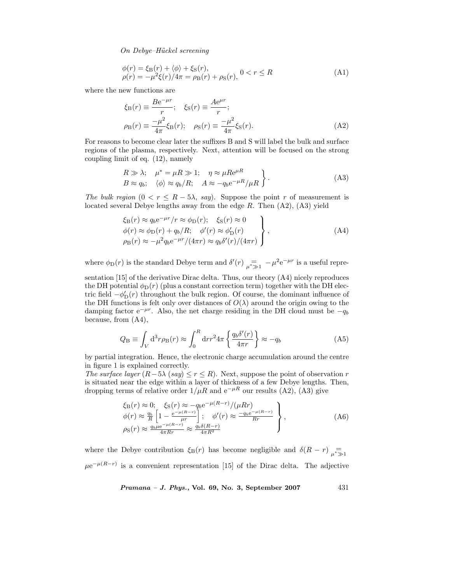$$
\begin{aligned} \phi(r) &= \xi_{\text{B}}(r) + \langle \phi \rangle + \xi_{\text{S}}(r), \\ \rho(r) &= -\mu^2 \xi(r) / 4\pi = \rho_{\text{B}}(r) + \rho_{\text{S}}(r), \, 0 < r \le R \end{aligned} \tag{A1}
$$

where the new functions are

$$
\xi_{\rm B}(r) \equiv \frac{Be^{-\mu r}}{r}; \quad \xi_{\rm S}(r) \equiv \frac{Ae^{\mu r}}{r};
$$
  
\n
$$
\rho_{\rm B}(r) \equiv \frac{-\mu^2}{4\pi} \xi_{\rm B}(r); \quad \rho_{\rm S}(r) \equiv \frac{-\mu^2}{4\pi} \xi_{\rm S}(r).
$$
\n(A2)

For reasons to become clear later the suffixes B and S will label the bulk and surface regions of the plasma, respectively. Next, attention will be focused on the strong coupling limit of eq. (12), namely

$$
R \gg \lambda; \quad \mu^* = \mu R \gg 1; \quad \eta \approx \mu R e^{\mu R}
$$
  
\n
$$
B \approx q_b; \quad \langle \phi \rangle \approx q_b/R; \quad A \approx -q_b e^{-\mu R} / \mu R
$$
 (A3)

*The bulk region*  $(0 \lt r \leq R - 5\lambda, say)$ . Suppose the point r of measurement is located several Debye lengths away from the edge  $R$ . Then  $(A2)$ ,  $(A3)$  yield

$$
\xi_{\rm B}(r) \approx q_b e^{-\mu r}/r \approx \phi_{\rm D}(r); \quad \xi_{\rm S}(r) \approx 0
$$
  
\n
$$
\phi(r) \approx \phi_{\rm D}(r) + q_b/R; \quad \phi'(r) \approx \phi'_{\rm D}(r)
$$
  
\n
$$
\rho_{\rm B}(r) \approx -\mu^2 q_b e^{-\mu r}/(4\pi r) \approx q_b \delta'(r)/(4\pi r)
$$
\n(A4)

where  $\phi_D(r)$  is the standard Debye term and  $\delta'(r)$   $\underset{\mu^* \gg 1}{=} -\mu^2 e^{-\mu r}$  is a useful repre-

sentation [15] of the derivative Dirac delta. Thus, our theory (A4) nicely reproduces the DH potential  $\phi_D(r)$  (plus a constant correction term) together with the DH electric field  $-\phi'_{\mathcal{D}}(r)$  throughout the bulk region. Of course, the dominant influence of the DH functions is felt only over distances of  $O(\lambda)$  around the origin owing to the damping factor  $e^{-\mu r}$ . Also, the net charge residing in the DH cloud must be  $-q_b$ because, from (A4),

$$
Q_{\rm B} \equiv \int_V d^3 r \rho_{\rm B}(r) \approx \int_0^R dr r^2 4\pi \left\{ \frac{q_b \delta'(r)}{4\pi r} \right\} \approx -q_b \tag{A5}
$$

by partial integration. Hence, the electronic charge accumulation around the centre in figure 1 is explained correctly.

*The surface layer*  $(R-5\lambda \ (say) \leq r \leq R$ . Next, suppose the point of observation r is situated near the edge within a layer of thickness of a few Debye lengths. Then, dropping terms of relative order  $1/\mu R$  and  $e^{-\mu R}$  our results (A2), (A3) give

$$
\xi_{\rm B}(r) \approx 0; \quad \xi_{\rm S}(r) \approx -q_b e^{-\mu(R-r)} / (\mu R r) \n\phi(r) \approx \frac{q_b}{R} \left[ 1 - \frac{e^{-\mu(R-r)}}{\mu r} \right]; \quad \phi'(r) \approx \frac{-q_b e^{-\mu(R-r)}}{R r} \n\rho_{\rm S}(r) \approx \frac{q_b \mu e^{-\mu(R-r)}}{4\pi R r} \approx \frac{q_b \delta(R-r)}{4\pi R^2}
$$
\n(A6)

where the Debye contribution  $\xi_B(r)$  has become negligible and  $\delta(R-r)$   $\underset{\mu^* \gg 1}{=}$  $\mu e^{-\mu(R-r)}$  is a convenient representation [15] of the Dirac delta. The adjective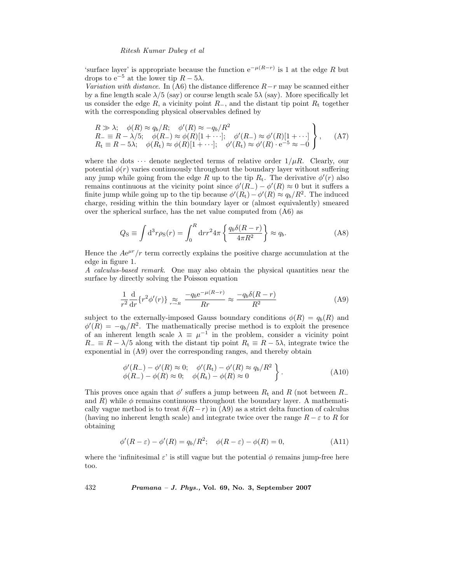#### *Ritesh Kumar Dubey et al*

'surface layer' is appropriate because the function  $e^{-\mu(R-r)}$  is 1 at the edge R but drops to  $e^{-5}$  at the lower tip  $R - 5\lambda$ .

*Variation with distance*. In (A6) the distance difference R−r may be scanned either by a fine length scale  $\lambda/5$  (say) or course length scale  $5\lambda$  (say). More specifically let us consider the edge R, a vicinity point  $R_-\,$ , and the distant tip point  $R_+\,$  together with the corresponding physical observables defined by

$$
R \gg \lambda; \quad \phi(R) \approx q_b/R; \quad \phi'(R) \approx -q_b/R^2
$$
  
\n
$$
R_- \equiv R - \lambda/5; \quad \phi(R_-) \approx \phi(R)[1 + \cdots]; \quad \phi'(R_-) \approx \phi'(R)[1 + \cdots]
$$
  
\n
$$
R_t \equiv R - 5\lambda; \quad \phi(R_t) \approx \phi(R)[1 + \cdots]; \quad \phi'(R_t) \approx \phi'(R) \cdot e^{-5} \approx -0
$$
 (A7)

where the dots  $\cdots$  denote neglected terms of relative order  $1/\mu R$ . Clearly, our potential  $\phi(r)$  varies continuously throughout the boundary layer without suffering any jump while going from the edge R up to the tip  $R_t$ . The derivative  $\phi'(r)$  also remains continuous at the vicinity point since  $\phi'(R) - \phi'(R) \approx 0$  but it suffers a finite jump while going up to the tip because  $\phi'(R_t) - \phi'(R) \approx q_b/R^2$ . The induced charge, residing within the thin boundary layer or (almost equivalently) smeared over the spherical surface, has the net value computed from (A6) as

$$
Q_{\rm S} \equiv \int d^3 r \rho_{\rm S}(r) = \int_0^R dr r^2 4\pi \left\{ \frac{q_b \delta (R-r)}{4\pi R^2} \right\} \approx q_b. \tag{A8}
$$

Hence the  $Ae^{\mu r}/r$  term correctly explains the positive charge accumulation at the edge in figure 1.

*A calculus-based remark*. One may also obtain the physical quantities near the surface by directly solving the Poisson equation

$$
\frac{1}{r^2}\frac{d}{dr}\left\{r^2\phi'(r)\right\} \underset{r \to R}{\approx} \frac{-q_b e^{-\mu(R-r)}}{Rr} \approx \frac{-q_b \delta(R-r)}{R^2} \tag{A9}
$$

subject to the externally-imposed Gauss boundary conditions  $\phi(R) = q_b(R)$  and  $\phi'(R) = -q_b/R^2$ . The mathematically precise method is to exploit the presence of an inherent length scale  $\lambda \equiv \mu^{-1}$  in the problem, consider a vicinity point  $R_ = \equiv R - \lambda/5$  along with the distant tip point  $R_t \equiv R - 5\lambda$ , integrate twice the exponential in (A9) over the corresponding ranges, and thereby obtain

$$
\begin{aligned}\n\phi'(R_-) - \phi'(R) &\approx 0; \quad \phi'(R_t) - \phi'(R) \approx q_b/R^2 \\
\phi(R_-) - \phi(R) &\approx 0; \quad \phi(R_t) - \phi(R) \approx 0\n\end{aligned} \bigg\}.\n\tag{A10}
$$

This proves once again that  $\phi'$  suffers a jump between  $R_t$  and R (not between  $R_-\$ and  $R$ ) while  $\phi$  remains continuous throughout the boundary layer. A mathematically vague method is to treat  $\delta(R-r)$  in (A9) as a strict delta function of calculus (having no inherent length scale) and integrate twice over the range  $R - \varepsilon$  to R for obtaining

$$
\phi'(R - \varepsilon) - \phi'(R) = q_b/R^2; \quad \phi(R - \varepsilon) - \phi(R) = 0,
$$
\n(A11)

where the 'infinitesimal  $\varepsilon$ ' is still vague but the potential  $\phi$  remains jump-free here too.